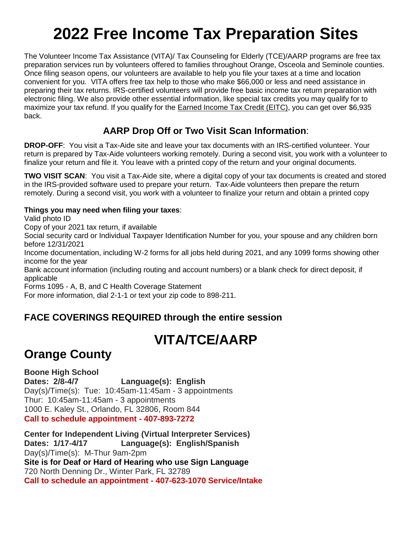# **2022 Free Income Tax Preparation Sites**

The Volunteer Income Tax Assistance (VITA)/ Tax Counseling for Elderly (TCE)/AARP programs are free tax preparation services run by volunteers offered to families throughout Orange, Osceola and Seminole counties. Once filing season opens, our volunteers are available to help you file your taxes at a time and location convenient for you. VITA offers free tax help to those who make \$66,000 or less and need assistance in preparing their tax returns. IRS-certified volunteers will provide free basic income tax return preparation with electronic filing. We also provide other essential information, like special tax credits you may qualify for to maximize your tax refund. If you qualify for the [Earned Income Tax Credit \(EITC\),](https://www.hfuw.org/eitc/) you can get over \$6,935 back.

### **AARP Drop Off or Two Visit Scan Information**:

**DROP-OFF**: You visit a Tax-Aide site and leave your tax documents with an IRS-certified volunteer. Your return is prepared by Tax-Aide volunteers working remotely. During a second visit, you work with a volunteer to finalize your return and file it. You leave with a printed copy of the return and your original documents.

**TWO VISIT SCAN**: You visit a Tax-Aide site, where a digital copy of your tax documents is created and stored in the IRS-provided software used to prepare your return. Tax-Aide volunteers then prepare the return remotely. During a second visit, you work with a volunteer to finalize your return and obtain a printed copy

#### **Things you may need when filing your taxes**:

Valid photo ID

Copy of your 2021 tax return, if available

Social security card or Individual Taxpayer Identification Number for you, your spouse and any children born before 12/31/2021

Income documentation, including W-2 forms for all jobs held during 2021, and any 1099 forms showing other income for the year

Bank account information (including routing and account numbers) or a blank check for direct deposit, if applicable

Forms 1095 - A, B, and C Health Coverage Statement

For more information, dial 2-1-1 or text your zip code to 898-211.

### **FACE COVERINGS REQUIRED through the entire session**

# **VITA/TCE/AARP**

# **Orange County**

**Boone High School Dates: 2/8-4/7 Language(s): English** Day(s)/Time(s): Tue: 10:45am-11:45am - 3 appointments Thur: 10:45am-11:45am - 3 appointments 1000 E. Kaley St., Orlando, FL 32806, Room 844 **Call to schedule appointment - 407-893-7272**

**Center for Independent Living (Virtual Interpreter Services) Dates: 1/17-4/17 Language(s): English/Spanish** Day(s)/Time(s): M-Thur 9am-2pm **Site is for Deaf or Hard of Hearing who use Sign Language** 720 North Denning Dr., Winter Park, FL 32789 **Call to schedule an appointment - 407-623-1070 Service/Intake**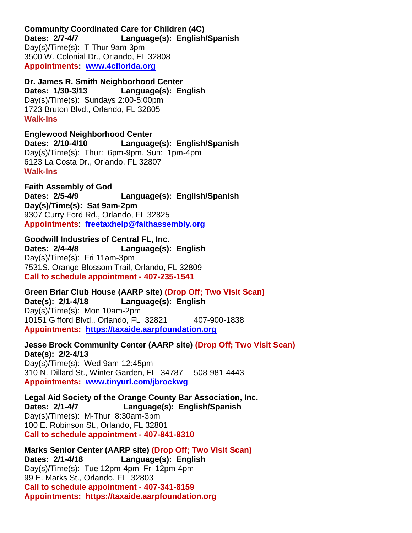**Community Coordinated Care for Children (4C) Dates: 2/7-4/7 Language(s): English/Spanish** Day(s)/Time(s): T-Thur 9am-3pm 3500 W. Colonial Dr., Orlando, FL 32808 **Appointments: [www.4cflorida.org](http://www.4cflorida.org/)**

**Dr. James R. Smith Neighborhood Center Dates: 1/30-3/13 Language(s): English** Day(s)/Time(s): Sundays 2:00-5:00pm 1723 Bruton Blvd., Orlando, FL 32805 **Walk-Ins** 

**Englewood Neighborhood Center Dates: 2/10-4/10 Language(s): English/Spanish** Day(s)/Time(s): Thur: 6pm-9pm, Sun: 1pm-4pm 6123 La Costa Dr., Orlando, FL 32807 **Walk-Ins** 

**Faith Assembly of God Dates: 2/5-4/9 Language(s): English/Spanish Day(s)/Time(s): Sat 9am-2pm** 9307 Curry Ford Rd., Orlando, FL 32825 **Appointments**: **[freetaxhelp@faithassembly.org](mailto:freetaxhelp@faithassembly.org)**

**Goodwill Industries of Central FL, Inc. Dates: 2/4-4/8 Language(s): English** Day(s)/Time(s): Fri 11am-3pm 7531S. Orange Blossom Trail, Orlando, FL 32809 **Call to schedule appointment - 407-235-1541**

**Green Briar Club House (AARP site) (Drop Off; Two Visit Scan) Date(s): 2/1-4/18 Language(s): English** Day(s)/Time(s): Mon 10am-2pm 10151 Gifford Blvd., Orlando, FL 32821 407-900-1838 **Appointments: [https://taxaide.aarpfoundation.org](https://taxaide.aarpfoundation.org/)**

**Jesse Brock Community Center (AARP site) (Drop Off; Two Visit Scan) Date(s): 2/2-4/13** Day(s)/Time(s): Wed 9am-12:45pm 310 N. Dillard St., Winter Garden, FL 34787 508-981-4443 **Appointments: [www.tinyurl.com/jbrockwg](http://www.tinyurl.com/jbrockwg)**

**Legal Aid Society of the Orange County Bar Association, Inc. Dates: 2/1-4/7 Language(s): English/Spanish** Day(s)/Time(s): M-Thur 8:30am-3pm 100 E. Robinson St., Orlando, FL 32801 **Call to schedule appointment - 407-841-8310**

**Marks Senior Center (AARP site) (Drop Off; Two Visit Scan) Dates: 2/1-4/18 Language(s): English** Day(s)/Time(s): Tue 12pm-4pm Fri 12pm-4pm 99 E. Marks St., Orlando, FL 32803 **Call to schedule appointment** - **407-341-8159 Appointments: https://taxaide.aarpfoundation.org**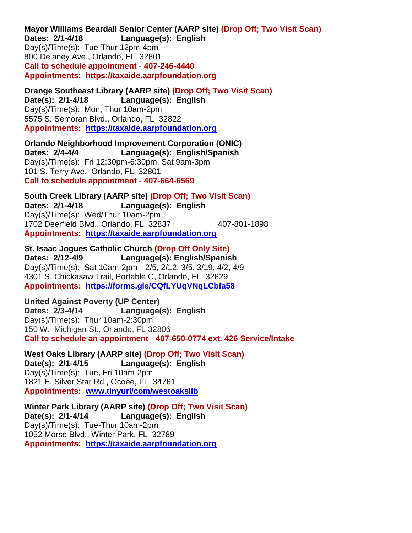**Mayor Williams Beardall Senior Center (AARP site) (Drop Off; Two Visit Scan) Dates: 2/1-4/18 Language(s): English** Day(s)/Time(s): Tue-Thur 12pm-4pm 800 Delaney Ave., Orlando, FL 32801 **Call to schedule appointment** - **407-246-4440 Appointments: https://taxaide.aarpfoundation.org**

**Orange Southeast Library (AARP site) (Drop Off; Two Visit Scan) Date(s): 2/1-4/18 Language(s): English** Day(s)/Time(s): Mon, Thur 10am-2pm 5575 S. Semoran Blvd., Orlando, FL 32822 **Appointments: [https://taxaide.aarpfoundation.org](https://taxaide.aarpfoundation.org/)**

**Orlando Neighborhood Improvement Corporation (ONIC) Dates: 2/4-4/4 Language(s): English/Spanish** Day(s)/Time(s): Fri 12:30pm-6:30pm, Sat 9am-3pm 101 S. Terry Ave., Orlando, FL 32801 **Call to schedule appointment** - **407-664-6569**

**South Creek Library (AARP site) (Drop Off; Two Visit Scan) Dates: 2/1-4/18 Language(s): English** Day(s)/Time(s): Wed/Thur 10am-2pm 1702 Deerfield Blvd., Orlando, FL 32837 407-801-1898 **Appointments: [https://taxaide.aarpfoundation.org](https://taxaide.aarpfoundation.org/)**

**St. Isaac Jogues Catholic Church (Drop Off Only Site) Dates: 2/12-4/9 Language(s): English/Spanish** Day(s)/Time(s): Sat 10am-2pm 2/5, 2/12; 3/5, 3/19; 4/2, 4/9 4301 S. Chickasaw Trail, Portable C, Orlando, FL 32829 **Appointments: <https://forms.gle/CQfLYUqVNqLCbfa58>**

**United Against Poverty (UP Center) Dates: 2/3-4/14 Language(s): English** Day(s)/Time(s): Thur 10am-2:30pm 150 W. Michigan St., Orlando, FL 32806 **Call to schedule an appointment** - **407-650-0774 ext. 426 Service/Intake** 

**West Oaks Library (AARP site) (Drop Off; Two Visit Scan) Date(s): 2/1-4/15 Language(s): English** Day(s)/Time(s): Tue, Fri 10am-2pm 1821 E. Silver Star Rd., Ocoee, FL 34761 **Appointments: [www.tinyurl/com/westoakslib](http://www.tinyurl/com/westoakslib)**

**Winter Park Library (AARP site) (Drop Off; Two Visit Scan) Date(s): 2/1-4/14 Language(s): English** Day(s)/Time(s): Tue-Thur 10am-2pm 1052 Morse Blvd., Winter Park, FL 32789 **Appointments: [https://taxaide.aarpfoundation.org](https://taxaide.aarpfoundation.org/)**